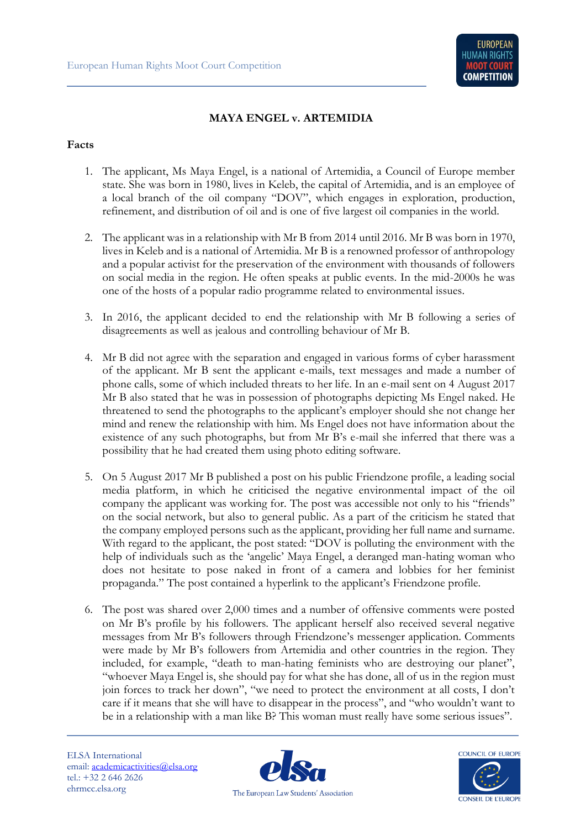

## **MAYA ENGEL v. ARTEMIDIA**

## **Facts**

- 1. The applicant, Ms Maya Engel, is a national of Artemidia, a Council of Europe member state. She was born in 1980, lives in Keleb, the capital of Artemidia, and is an employee of a local branch of the oil company "DOV", which engages in exploration, production, refinement, and distribution of oil and is one of five largest oil companies in the world.
- 2. The applicant was in a relationship with Mr B from 2014 until 2016. Mr B was born in 1970, lives in Keleb and is a national of Artemidia. Mr B is a renowned professor of anthropology and a popular activist for the preservation of the environment with thousands of followers on social media in the region. He often speaks at public events. In the mid-2000s he was one of the hosts of a popular radio programme related to environmental issues.
- 3. In 2016, the applicant decided to end the relationship with Mr B following a series of disagreements as well as jealous and controlling behaviour of Mr B.
- 4. Mr B did not agree with the separation and engaged in various forms of cyber harassment of the applicant. Mr B sent the applicant e-mails, text messages and made a number of phone calls, some of which included threats to her life. In an e-mail sent on 4 August 2017 Mr B also stated that he was in possession of photographs depicting Ms Engel naked. He threatened to send the photographs to the applicant's employer should she not change her mind and renew the relationship with him. Ms Engel does not have information about the existence of any such photographs, but from Mr B's e-mail she inferred that there was a possibility that he had created them using photo editing software.
- 5. On 5 August 2017 Mr B published a post on his public Friendzone profile, a leading social media platform, in which he criticised the negative environmental impact of the oil company the applicant was working for. The post was accessible not only to his "friends" on the social network, but also to general public. As a part of the criticism he stated that the company employed persons such as the applicant, providing her full name and surname. With regard to the applicant, the post stated: "DOV is polluting the environment with the help of individuals such as the 'angelic' Maya Engel, a deranged man-hating woman who does not hesitate to pose naked in front of a camera and lobbies for her feminist propaganda." The post contained a hyperlink to the applicant's Friendzone profile.
- 6. The post was shared over 2,000 times and a number of offensive comments were posted on Mr B's profile by his followers. The applicant herself also received several negative messages from Mr B's followers through Friendzone's messenger application. Comments were made by Mr B's followers from Artemidia and other countries in the region. They included, for example, "death to man-hating feminists who are destroying our planet", "whoever Maya Engel is, she should pay for what she has done, all of us in the region must join forces to track her down", "we need to protect the environment at all costs, I don't care if it means that she will have to disappear in the process", and "who wouldn't want to be in a relationship with a man like B? This woman must really have some serious issues".



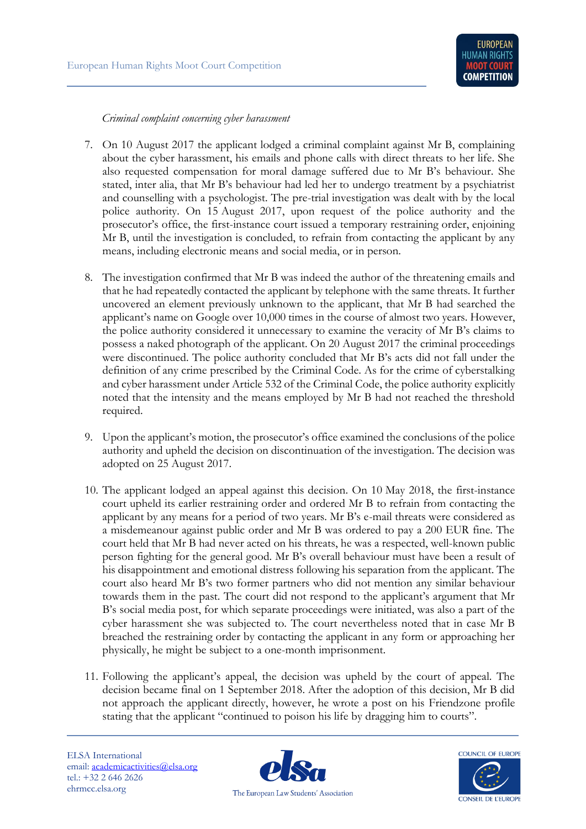*Criminal complaint concerning cyber harassment*

- 7. On 10 August 2017 the applicant lodged a criminal complaint against Mr B, complaining about the cyber harassment, his emails and phone calls with direct threats to her life. She also requested compensation for moral damage suffered due to Mr B's behaviour. She stated, inter alia, that Mr B's behaviour had led her to undergo treatment by a psychiatrist and counselling with a psychologist. The pre-trial investigation was dealt with by the local police authority. On 15 August 2017, upon request of the police authority and the prosecutor's office, the first-instance court issued a temporary restraining order, enjoining Mr B, until the investigation is concluded, to refrain from contacting the applicant by any means, including electronic means and social media, or in person.
- 8. The investigation confirmed that Mr B was indeed the author of the threatening emails and that he had repeatedly contacted the applicant by telephone with the same threats. It further uncovered an element previously unknown to the applicant, that Mr B had searched the applicant's name on Google over 10,000 times in the course of almost two years. However, the police authority considered it unnecessary to examine the veracity of Mr B's claims to possess a naked photograph of the applicant. On 20 August 2017 the criminal proceedings were discontinued. The police authority concluded that Mr B's acts did not fall under the definition of any crime prescribed by the Criminal Code. As for the crime of cyberstalking and cyber harassment under Article 532 of the Criminal Code, the police authority explicitly noted that the intensity and the means employed by Mr B had not reached the threshold required.
- 9. Upon the applicant's motion, the prosecutor's office examined the conclusions of the police authority and upheld the decision on discontinuation of the investigation. The decision was adopted on 25 August 2017.
- 10. The applicant lodged an appeal against this decision. On 10 May 2018, the first-instance court upheld its earlier restraining order and ordered Mr B to refrain from contacting the applicant by any means for a period of two years. Mr B's e-mail threats were considered as a misdemeanour against public order and Mr B was ordered to pay a 200 EUR fine. The court held that Mr B had never acted on his threats, he was a respected, well-known public person fighting for the general good. Mr B's overall behaviour must have been a result of his disappointment and emotional distress following his separation from the applicant. The court also heard Mr B's two former partners who did not mention any similar behaviour towards them in the past. The court did not respond to the applicant's argument that Mr B's social media post, for which separate proceedings were initiated, was also a part of the cyber harassment she was subjected to. The court nevertheless noted that in case Mr B breached the restraining order by contacting the applicant in any form or approaching her physically, he might be subject to a one-month imprisonment.
- 11. Following the applicant's appeal, the decision was upheld by the court of appeal. The decision became final on 1 September 2018. After the adoption of this decision, Mr B did not approach the applicant directly, however, he wrote a post on his Friendzone profile stating that the applicant "continued to poison his life by dragging him to courts".

ELSA International email: [academicactivities@elsa.org](mailto:academicactivities@elsa.org) tel.: +32 2 646 2626 ehrmcc.elsa.org



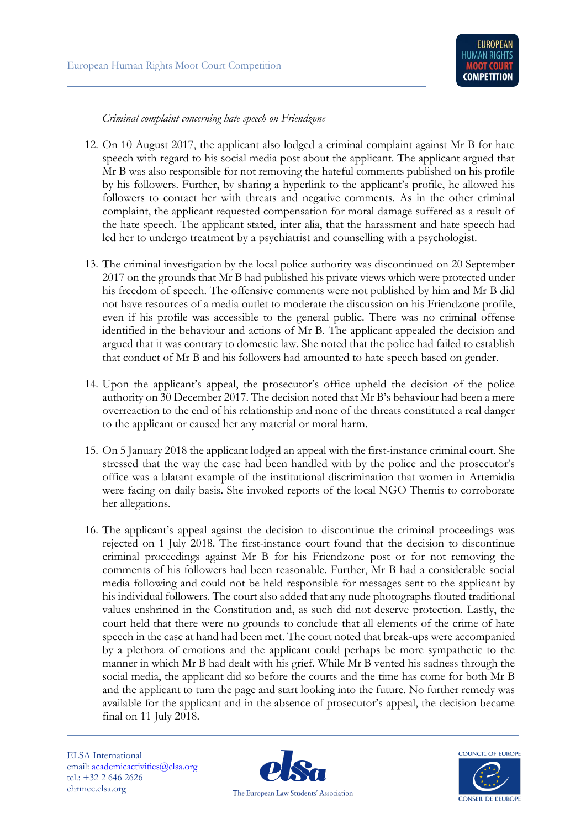*Criminal complaint concerning hate speech on Friendzone*

- 12. On 10 August 2017, the applicant also lodged a criminal complaint against Mr B for hate speech with regard to his social media post about the applicant. The applicant argued that Mr B was also responsible for not removing the hateful comments published on his profile by his followers. Further, by sharing a hyperlink to the applicant's profile, he allowed his followers to contact her with threats and negative comments. As in the other criminal complaint, the applicant requested compensation for moral damage suffered as a result of the hate speech. The applicant stated, inter alia, that the harassment and hate speech had led her to undergo treatment by a psychiatrist and counselling with a psychologist.
- 13. The criminal investigation by the local police authority was discontinued on 20 September 2017 on the grounds that Mr B had published his private views which were protected under his freedom of speech. The offensive comments were not published by him and Mr B did not have resources of a media outlet to moderate the discussion on his Friendzone profile, even if his profile was accessible to the general public. There was no criminal offense identified in the behaviour and actions of Mr B. The applicant appealed the decision and argued that it was contrary to domestic law. She noted that the police had failed to establish that conduct of Mr B and his followers had amounted to hate speech based on gender.
- 14. Upon the applicant's appeal, the prosecutor's office upheld the decision of the police authority on 30 December 2017. The decision noted that Mr B's behaviour had been a mere overreaction to the end of his relationship and none of the threats constituted a real danger to the applicant or caused her any material or moral harm.
- 15. On 5 January 2018 the applicant lodged an appeal with the first-instance criminal court. She stressed that the way the case had been handled with by the police and the prosecutor's office was a blatant example of the institutional discrimination that women in Artemidia were facing on daily basis. She invoked reports of the local NGO Themis to corroborate her allegations.
- 16. The applicant's appeal against the decision to discontinue the criminal proceedings was rejected on 1 July 2018. The first-instance court found that the decision to discontinue criminal proceedings against Mr B for his Friendzone post or for not removing the comments of his followers had been reasonable. Further, Mr B had a considerable social media following and could not be held responsible for messages sent to the applicant by his individual followers. The court also added that any nude photographs flouted traditional values enshrined in the Constitution and, as such did not deserve protection. Lastly, the court held that there were no grounds to conclude that all elements of the crime of hate speech in the case at hand had been met. The court noted that break-ups were accompanied by a plethora of emotions and the applicant could perhaps be more sympathetic to the manner in which Mr B had dealt with his grief. While Mr B vented his sadness through the social media, the applicant did so before the courts and the time has come for both Mr B and the applicant to turn the page and start looking into the future. No further remedy was available for the applicant and in the absence of prosecutor's appeal, the decision became final on 11 July 2018.



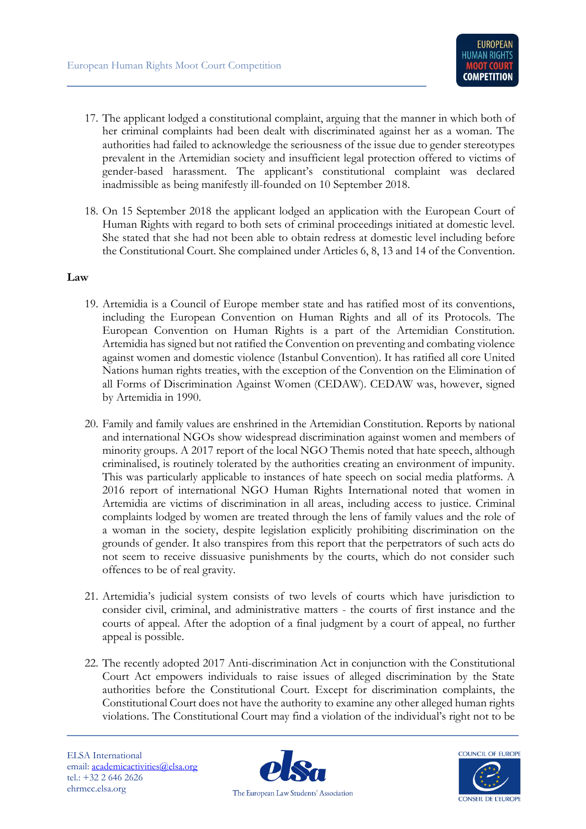- 17. The applicant lodged a constitutional complaint, arguing that the manner in which both of her criminal complaints had been dealt with discriminated against her as a woman. The authorities had failed to acknowledge the seriousness of the issue due to gender stereotypes prevalent in the Artemidian society and insufficient legal protection offered to victims of gender-based harassment. The applicant's constitutional complaint was declared inadmissible as being manifestly ill-founded on 10 September 2018.
- 18. On 15 September 2018 the applicant lodged an application with the European Court of Human Rights with regard to both sets of criminal proceedings initiated at domestic level. She stated that she had not been able to obtain redress at domestic level including before the Constitutional Court. She complained under Articles 6, 8, 13 and 14 of the Convention.

## **Law**

- 19. Artemidia is a Council of Europe member state and has ratified most of its conventions, including the European Convention on Human Rights and all of its Protocols. The European Convention on Human Rights is a part of the Artemidian Constitution. Artemidia has signed but not ratified the Convention on preventing and combating violence against women and domestic violence (Istanbul Convention). It has ratified all core United Nations human rights treaties, with the exception of the Convention on the Elimination of all Forms of Discrimination Against Women (CEDAW). CEDAW was, however, signed by Artemidia in 1990.
- 20. Family and family values are enshrined in the Artemidian Constitution. Reports by national and international NGOs show widespread discrimination against women and members of minority groups. A 2017 report of the local NGO Themis noted that hate speech, although criminalised, is routinely tolerated by the authorities creating an environment of impunity. This was particularly applicable to instances of hate speech on social media platforms. A 2016 report of international NGO Human Rights International noted that women in Artemidia are victims of discrimination in all areas, including access to justice. Criminal complaints lodged by women are treated through the lens of family values and the role of a woman in the society, despite legislation explicitly prohibiting discrimination on the grounds of gender. It also transpires from this report that the perpetrators of such acts do not seem to receive dissuasive punishments by the courts, which do not consider such offences to be of real gravity.
- 21. Artemidia's judicial system consists of two levels of courts which have jurisdiction to consider civil, criminal, and administrative matters - the courts of first instance and the courts of appeal. After the adoption of a final judgment by a court of appeal, no further appeal is possible.
- 22. The recently adopted 2017 Anti-discrimination Act in conjunction with the Constitutional Court Act empowers individuals to raise issues of alleged discrimination by the State authorities before the Constitutional Court. Except for discrimination complaints, the Constitutional Court does not have the authority to examine any other alleged human rights violations. The Constitutional Court may find a violation of the individual's right not to be

ELSA International email: [academicactivities@elsa.org](mailto:academicactivities@elsa.org) tel.: +32 2 646 2626 ehrmcc.elsa.org



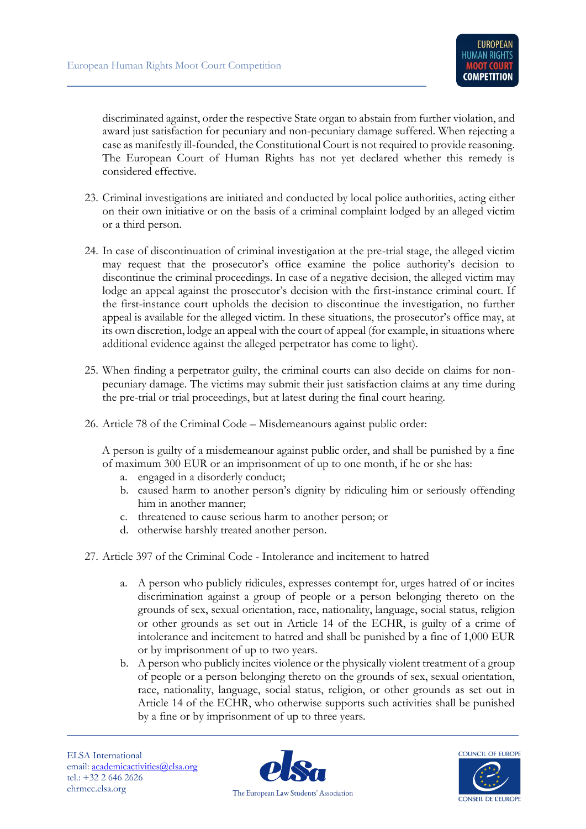discriminated against, order the respective State organ to abstain from further violation, and award just satisfaction for pecuniary and non-pecuniary damage suffered. When rejecting a case as manifestly ill-founded, the Constitutional Court is not required to provide reasoning. The European Court of Human Rights has not yet declared whether this remedy is considered effective.

- 23. Criminal investigations are initiated and conducted by local police authorities, acting either on their own initiative or on the basis of a criminal complaint lodged by an alleged victim or a third person.
- 24. In case of discontinuation of criminal investigation at the pre-trial stage, the alleged victim may request that the prosecutor's office examine the police authority's decision to discontinue the criminal proceedings. In case of a negative decision, the alleged victim may lodge an appeal against the prosecutor's decision with the first-instance criminal court. If the first-instance court upholds the decision to discontinue the investigation, no further appeal is available for the alleged victim. In these situations, the prosecutor's office may, at its own discretion, lodge an appeal with the court of appeal (for example, in situations where additional evidence against the alleged perpetrator has come to light).
- 25. When finding a perpetrator guilty, the criminal courts can also decide on claims for nonpecuniary damage. The victims may submit their just satisfaction claims at any time during the pre-trial or trial proceedings, but at latest during the final court hearing.
- 26. Article 78 of the Criminal Code Misdemeanours against public order:

A person is guilty of a misdemeanour against public order, and shall be punished by a fine of maximum 300 EUR or an imprisonment of up to one month, if he or she has:

- a. engaged in a disorderly conduct;
- b. caused harm to another person's dignity by ridiculing him or seriously offending him in another manner;
- c. threatened to cause serious harm to another person; or
- d. otherwise harshly treated another person.
- 27. Article 397 of the Criminal Code Intolerance and incitement to hatred
	- a. A person who publicly ridicules, expresses contempt for, urges hatred of or incites discrimination against a group of people or a person belonging thereto on the grounds of sex, sexual orientation, race, nationality, language, social status, religion or other grounds as set out in Article 14 of the ECHR, is guilty of a crime of intolerance and incitement to hatred and shall be punished by a fine of 1,000 EUR or by imprisonment of up to two years.
	- b. A person who publicly incites violence or the physically violent treatment of a group of people or a person belonging thereto on the grounds of sex, sexual orientation, race, nationality, language, social status, religion, or other grounds as set out in Article 14 of the ECHR, who otherwise supports such activities shall be punished by a fine or by imprisonment of up to three years.